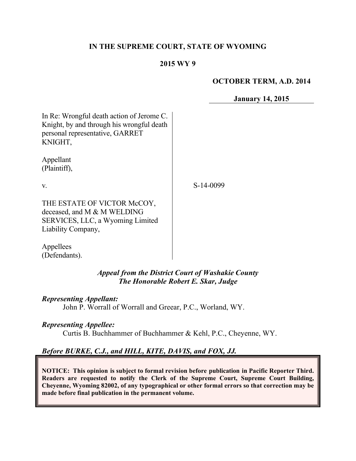#### **IN THE SUPREME COURT, STATE OF WYOMING**

#### **2015 WY 9**

#### **OCTOBER TERM, A.D. 2014**

**January 14, 2015**

In Re: Wrongful death action of Jerome C. Knight, by and through his wrongful death personal representative, GARRET KNIGHT,

Appellant (Plaintiff),

v.

S-14-0099

THE ESTATE OF VICTOR McCOY, deceased, and M & M WELDING SERVICES, LLC, a Wyoming Limited Liability Company,

Appellees (Defendants).

> *Appeal from the District Court of Washakie County The Honorable Robert E. Skar, Judge*

*Representing Appellant:*

John P. Worrall of Worrall and Greear, P.C., Worland, WY.

### *Representing Appellee:*

Curtis B. Buchhammer of Buchhammer & Kehl, P.C., Cheyenne, WY.

# *Before BURKE, C.J., and HILL, KITE, DAVIS, and FOX, JJ.*

**NOTICE: This opinion is subject to formal revision before publication in Pacific Reporter Third. Readers are requested to notify the Clerk of the Supreme Court, Supreme Court Building, Cheyenne, Wyoming 82002, of any typographical or other formal errors so that correction may be made before final publication in the permanent volume.**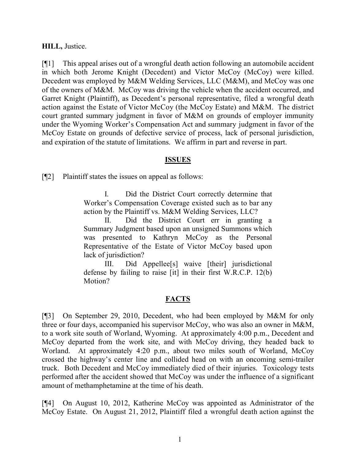#### **HILL,** Justice.

[¶1] This appeal arises out of a wrongful death action following an automobile accident in which both Jerome Knight (Decedent) and Victor McCoy (McCoy) were killed. Decedent was employed by M&M Welding Services, LLC (M&M), and McCoy was one of the owners of M&M. McCoy was driving the vehicle when the accident occurred, and Garret Knight (Plaintiff), as Decedent's personal representative, filed a wrongful death action against the Estate of Victor McCoy (the McCoy Estate) and M&M. The district court granted summary judgment in favor of M&M on grounds of employer immunity under the Wyoming Worker's Compensation Act and summary judgment in favor of the McCoy Estate on grounds of defective service of process, lack of personal jurisdiction, and expiration of the statute of limitations. We affirm in part and reverse in part.

### **ISSUES**

[¶2] Plaintiff states the issues on appeal as follows:

I. Did the District Court correctly determine that Worker's Compensation Coverage existed such as to bar any action by the Plaintiff vs. M&M Welding Services, LLC?

II. Did the District Court err in granting a Summary Judgment based upon an unsigned Summons which was presented to Kathryn McCoy as the Personal Representative of the Estate of Victor McCoy based upon lack of jurisdiction?

III. Did Appellee[s] waive [their] jurisdictional defense by failing to raise [it] in their first W.R.C.P. 12(b) Motion?

# **FACTS**

[¶3] On September 29, 2010, Decedent, who had been employed by M&M for only three or four days, accompanied his supervisor McCoy, who was also an owner in M&M, to a work site south of Worland, Wyoming. At approximately 4:00 p.m., Decedent and McCoy departed from the work site, and with McCoy driving, they headed back to Worland. At approximately 4:20 p.m., about two miles south of Worland, McCoy crossed the highway's center line and collided head on with an oncoming semi-trailer truck. Both Decedent and McCoy immediately died of their injuries. Toxicology tests performed after the accident showed that McCoy was under the influence of a significant amount of methamphetamine at the time of his death.

[¶4] On August 10, 2012, Katherine McCoy was appointed as Administrator of the McCoy Estate. On August 21, 2012, Plaintiff filed a wrongful death action against the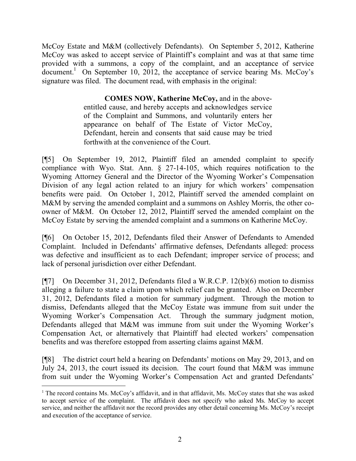McCoy Estate and M&M (collectively Defendants). On September 5, 2012, Katherine McCoy was asked to accept service of Plaintiff's complaint and was at that same time provided with a summons, a copy of the complaint, and an acceptance of service  $\alpha$ document.<sup>1</sup> On September 10, 2012, the acceptance of service bearing Ms. McCoy's signature was filed. The document read, with emphasis in the original:

> **COMES NOW, Katherine McCoy,** and in the aboveentitled cause, and hereby accepts and acknowledges service of the Complaint and Summons, and voluntarily enters her appearance on behalf of The Estate of Victor McCoy, Defendant, herein and consents that said cause may be tried forthwith at the convenience of the Court.

[¶5] On September 19, 2012, Plaintiff filed an amended complaint to specify compliance with Wyo. Stat. Ann. § 27-14-105, which requires notification to the Wyoming Attorney General and the Director of the Wyoming Worker's Compensation Division of any legal action related to an injury for which workers' compensation benefits were paid. On October 1, 2012, Plaintiff served the amended complaint on M&M by serving the amended complaint and a summons on Ashley Morris, the other coowner of M&M. On October 12, 2012, Plaintiff served the amended complaint on the McCoy Estate by serving the amended complaint and a summons on Katherine McCoy.

[¶6] On October 15, 2012, Defendants filed their Answer of Defendants to Amended Complaint. Included in Defendants' affirmative defenses, Defendants alleged: process was defective and insufficient as to each Defendant; improper service of process; and lack of personal jurisdiction over either Defendant.

[¶7] On December 31, 2012, Defendants filed a W.R.C.P. 12(b)(6) motion to dismiss alleging a failure to state a claim upon which relief can be granted. Also on December 31, 2012, Defendants filed a motion for summary judgment. Through the motion to dismiss, Defendants alleged that the McCoy Estate was immune from suit under the Wyoming Worker's Compensation Act. Through the summary judgment motion, Defendants alleged that M&M was immune from suit under the Wyoming Worker's Compensation Act, or alternatively that Plaintiff had elected workers' compensation benefits and was therefore estopped from asserting claims against M&M.

[¶8] The district court held a hearing on Defendants' motions on May 29, 2013, and on July 24, 2013, the court issued its decision. The court found that M&M was immune from suit under the Wyoming Worker's Compensation Act and granted Defendants'

 $\overline{a}$ 

<sup>1</sup> The record contains Ms. McCoy's affidavit, and in that affidavit, Ms. McCoy states that she was asked to accept service of the complaint. The affidavit does not specify who asked Ms. McCoy to accept service, and neither the affidavit nor the record provides any other detail concerning Ms. McCoy's receipt and execution of the acceptance of service.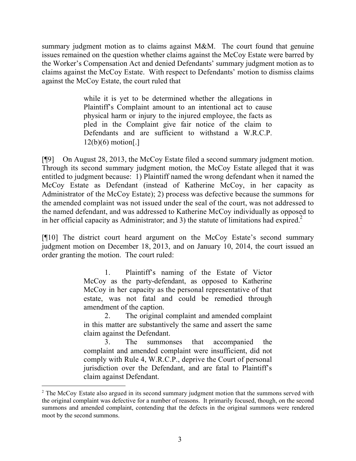summary judgment motion as to claims against M&M. The court found that genuine issues remained on the question whether claims against the McCoy Estate were barred by the Worker's Compensation Act and denied Defendants' summary judgment motion as to claims against the McCoy Estate. With respect to Defendants' motion to dismiss claims against the McCoy Estate, the court ruled that

> while it is yet to be determined whether the allegations in Plaintiff's Complaint amount to an intentional act to cause physical harm or injury to the injured employee, the facts as pled in the Complaint give fair notice of the claim to Defendants and are sufficient to withstand a W.R.C.P.  $12(b)(6)$  motion[.]

[¶9] On August 28, 2013, the McCoy Estate filed a second summary judgment motion. Through its second summary judgment motion, the McCoy Estate alleged that it was entitled to judgment because: 1) Plaintiff named the wrong defendant when it named the McCoy Estate as Defendant (instead of Katherine McCoy, in her capacity as Administrator of the McCoy Estate); 2) process was defective because the summons for the amended complaint was not issued under the seal of the court, was not addressed to the named defendant, and was addressed to Katherine McCoy individually as opposed to in her official capacity as Administrator; and 3) the statute of limitations had expired.<sup>2</sup>

[¶10] The district court heard argument on the McCoy Estate's second summary judgment motion on December 18, 2013, and on January 10, 2014, the court issued an order granting the motion. The court ruled:

> 1. Plaintiff's naming of the Estate of Victor McCoy as the party-defendant, as opposed to Katherine McCoy in her capacity as the personal representative of that estate, was not fatal and could be remedied through amendment of the caption.

> 2. The original complaint and amended complaint in this matter are substantively the same and assert the same claim against the Defendant.

> 3. The summonses that accompanied the complaint and amended complaint were insufficient, did not comply with Rule 4, W.R.C.P., deprive the Court of personal jurisdiction over the Defendant, and are fatal to Plaintiff's claim against Defendant.

 $\overline{a}$ 

<sup>&</sup>lt;sup>2</sup> The McCoy Estate also argued in its second summary judgment motion that the summons served with the original complaint was defective for a number of reasons. It primarily focused, though, on the second summons and amended complaint, contending that the defects in the original summons were rendered moot by the second summons.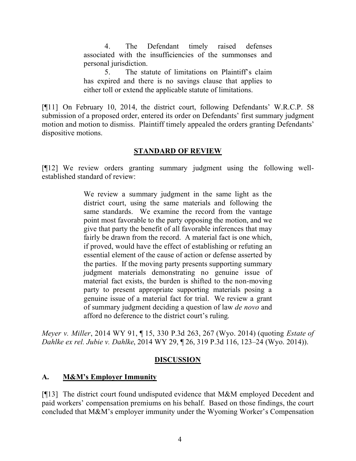4. The Defendant timely raised defenses associated with the insufficiencies of the summonses and personal jurisdiction.

5. The statute of limitations on Plaintiff's claim has expired and there is no savings clause that applies to either toll or extend the applicable statute of limitations.

[¶11] On February 10, 2014, the district court, following Defendants' W.R.C.P. 58 submission of a proposed order, entered its order on Defendants' first summary judgment motion and motion to dismiss. Plaintiff timely appealed the orders granting Defendants' dispositive motions.

## **STANDARD OF REVIEW**

[¶12] We review orders granting summary judgment using the following wellestablished standard of review:

> We review a summary judgment in the same light as the district court, using the same materials and following the same standards. We examine the record from the vantage point most favorable to the party opposing the motion, and we give that party the benefit of all favorable inferences that may fairly be drawn from the record. A material fact is one which, if proved, would have the effect of establishing or refuting an essential element of the cause of action or defense asserted by the parties. If the moving party presents supporting summary judgment materials demonstrating no genuine issue of material fact exists, the burden is shifted to the non-moving party to present appropriate supporting materials posing a genuine issue of a material fact for trial. We review a grant of summary judgment deciding a question of law *de novo* and afford no deference to the district court's ruling.

*Meyer v. Miller*, 2014 WY 91, ¶ 15, 330 P.3d 263, 267 (Wyo. 2014) (quoting *Estate of Dahlke ex rel. Jubie v. Dahlke*, 2014 WY 29, ¶ 26, 319 P.3d 116, 123–24 (Wyo. 2014)).

# **DISCUSSION**

# **A. M&M's Employer Immunity**

[¶13] The district court found undisputed evidence that M&M employed Decedent and paid workers' compensation premiums on his behalf. Based on those findings, the court concluded that M&M's employer immunity under the Wyoming Worker's Compensation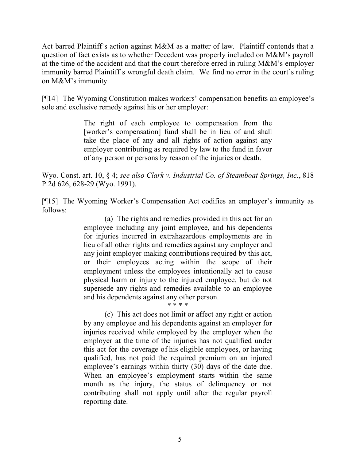Act barred Plaintiff's action against M&M as a matter of law. Plaintiff contends that a question of fact exists as to whether Decedent was properly included on M&M's payroll at the time of the accident and that the court therefore erred in ruling M&M's employer immunity barred Plaintiff's wrongful death claim. We find no error in the court's ruling on M&M's immunity.

[¶14] The Wyoming Constitution makes workers' compensation benefits an employee's sole and exclusive remedy against his or her employer:

> The right of each employee to compensation from the [worker's compensation] fund shall be in lieu of and shall take the place of any and all rights of action against any employer contributing as required by law to the fund in favor of any person or persons by reason of the injuries or death.

Wyo. Const. art. 10, § 4; *see also Clark v. Industrial Co. of Steamboat Springs, Inc.*, 818 P.2d 626, 628-29 (Wyo. 1991).

[¶15] The Wyoming Worker's Compensation Act codifies an employer's immunity as follows:

> (a) The rights and remedies provided in this act for an employee including any joint employee, and his dependents for injuries incurred in extrahazardous employments are in lieu of all other rights and remedies against any employer and any joint employer making contributions required by this act, or their employees acting within the scope of their employment unless the employees intentionally act to cause physical harm or injury to the injured employee, but do not supersede any rights and remedies available to an employee and his dependents against any other person.

\* \* \* \*

(c) This act does not limit or affect any right or action by any employee and his dependents against an employer for injuries received while employed by the employer when the employer at the time of the injuries has not qualified under this act for the coverage of his eligible employees, or having qualified, has not paid the required premium on an injured employee's earnings within thirty (30) days of the date due. When an employee's employment starts within the same month as the injury, the status of delinquency or not contributing shall not apply until after the regular payroll reporting date.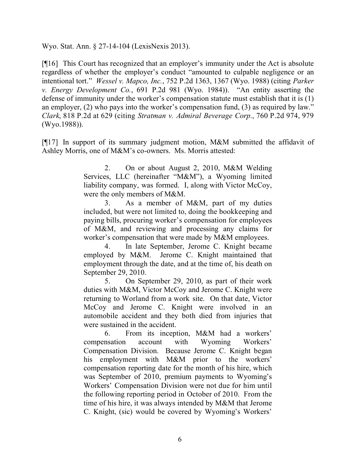Wyo. Stat. Ann. § 27-14-104 (LexisNexis 2013).

[¶16] This Court has recognized that an employer's immunity under the Act is absolute regardless of whether the employer's conduct "amounted to culpable negligence or an intentional tort." *Wessel v. Mapco, Inc.*, 752 P.2d 1363, 1367 (Wyo. 1988) (citing *Parker v. Energy Development Co.*, 691 P.2d 981 (Wyo. 1984)). "An entity asserting the defense of immunity under the worker's compensation statute must establish that it is (1) an employer, (2) who pays into the worker's compensation fund, (3) as required by law." *Clark*, 818 P.2d at 629 (citing *Stratman v. Admiral Beverage Corp.*, 760 P.2d 974, 979 (Wyo.1988)).

[¶17] In support of its summary judgment motion, M&M submitted the affidavit of Ashley Morris, one of M&M's co-owners. Ms. Morris attested:

> 2. On or about August 2, 2010, M&M Welding Services, LLC (hereinafter "M&M"), a Wyoming limited liability company, was formed. I, along with Victor McCoy, were the only members of M&M.

> 3. As a member of M&M, part of my duties included, but were not limited to, doing the bookkeeping and paying bills, procuring worker's compensation for employees of M&M, and reviewing and processing any claims for worker's compensation that were made by M&M employees.

> 4. In late September, Jerome C. Knight became employed by M&M. Jerome C. Knight maintained that employment through the date, and at the time of, his death on September 29, 2010.

> 5. On September 29, 2010, as part of their work duties with M&M, Victor McCoy and Jerome C. Knight were returning to Worland from a work site. On that date, Victor McCoy and Jerome C. Knight were involved in an automobile accident and they both died from injuries that were sustained in the accident.

> 6. From its inception, M&M had a workers' compensation account with Wyoming Workers' Compensation Division. Because Jerome C. Knight began his employment with M&M prior to the workers' compensation reporting date for the month of his hire, which was September of 2010, premium payments to Wyoming's Workers' Compensation Division were not due for him until the following reporting period in October of 2010. From the time of his hire, it was always intended by M&M that Jerome C. Knight, (sic) would be covered by Wyoming's Workers'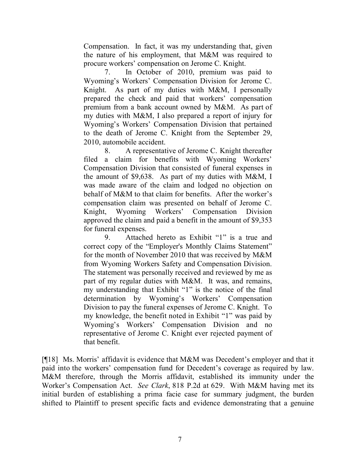Compensation. In fact, it was my understanding that, given the nature of his employment, that M&M was required to procure workers' compensation on Jerome C. Knight.

7. In October of 2010, premium was paid to Wyoming's Workers' Compensation Division for Jerome C. Knight. As part of my duties with M&M, I personally prepared the check and paid that workers' compensation premium from a bank account owned by M&M. As part of my duties with M&M, I also prepared a report of injury for Wyoming's Workers' Compensation Division that pertained to the death of Jerome C. Knight from the September 29, 2010, automobile accident.

8. A representative of Jerome C. Knight thereafter filed a claim for benefits with Wyoming Workers' Compensation Division that consisted of funeral expenses in the amount of \$9,638. As part of my duties with M&M, I was made aware of the claim and lodged no objection on behalf of M&M to that claim for benefits. After the worker's compensation claim was presented on behalf of Jerome C. Knight, Wyoming Workers' Compensation Division approved the claim and paid a benefit in the amount of \$9,353 for funeral expenses.

9. Attached hereto as Exhibit "1" is a true and correct copy of the "Employer's Monthly Claims Statement" for the month of November 2010 that was received by M&M from Wyoming Workers Safety and Compensation Division. The statement was personally received and reviewed by me as part of my regular duties with M&M. It was, and remains, my understanding that Exhibit "1" is the notice of the final determination by Wyoming's Workers' Compensation Division to pay the funeral expenses of Jerome C. Knight. To my knowledge, the benefit noted in Exhibit "1" was paid by Wyoming's Workers' Compensation Division and no representative of Jerome C. Knight ever rejected payment of that benefit.

[¶18] Ms. Morris' affidavit is evidence that M&M was Decedent's employer and that it paid into the workers' compensation fund for Decedent's coverage as required by law. M&M therefore, through the Morris affidavit, established its immunity under the Worker's Compensation Act. *See Clark*, 818 P.2d at 629. With M&M having met its initial burden of establishing a prima facie case for summary judgment, the burden shifted to Plaintiff to present specific facts and evidence demonstrating that a genuine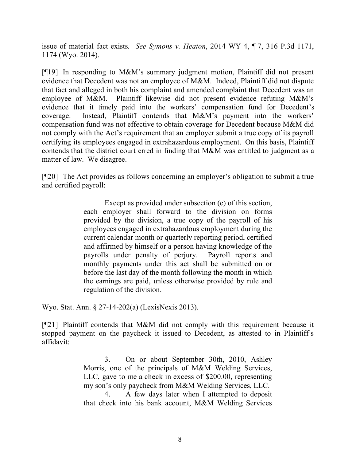issue of material fact exists. *See Symons v. Heaton*, 2014 WY 4, ¶ 7, 316 P.3d 1171, 1174 (Wyo. 2014).

[¶19] In responding to M&M's summary judgment motion, Plaintiff did not present evidence that Decedent was not an employee of M&M. Indeed, Plaintiff did not dispute that fact and alleged in both his complaint and amended complaint that Decedent was an employee of M&M. Plaintiff likewise did not present evidence refuting M&M's evidence that it timely paid into the workers' compensation fund for Decedent's coverage. Instead, Plaintiff contends that M&M's payment into the workers' compensation fund was not effective to obtain coverage for Decedent because M&M did not comply with the Act's requirement that an employer submit a true copy of its payroll certifying its employees engaged in extrahazardous employment. On this basis, Plaintiff contends that the district court erred in finding that M&M was entitled to judgment as a matter of law. We disagree.

[¶20] The Act provides as follows concerning an employer's obligation to submit a true and certified payroll:

> Except as provided under subsection (e) of this section, each employer shall forward to the division on forms provided by the division, a true copy of the payroll of his employees engaged in extrahazardous employment during the current calendar month or quarterly reporting period, certified and affirmed by himself or a person having knowledge of the payrolls under penalty of perjury. Payroll reports and monthly payments under this act shall be submitted on or before the last day of the month following the month in which the earnings are paid, unless otherwise provided by rule and regulation of the division.

Wyo. Stat. Ann. § 27-14-202(a) (LexisNexis 2013).

[¶21] Plaintiff contends that M&M did not comply with this requirement because it stopped payment on the paycheck it issued to Decedent, as attested to in Plaintiff's affidavit:

> 3. On or about September 30th, 2010, Ashley Morris, one of the principals of M&M Welding Services, LLC, gave to me a check in excess of \$200.00, representing my son's only paycheck from M&M Welding Services, LLC. 4. A few days later when I attempted to deposit

> that check into his bank account, M&M Welding Services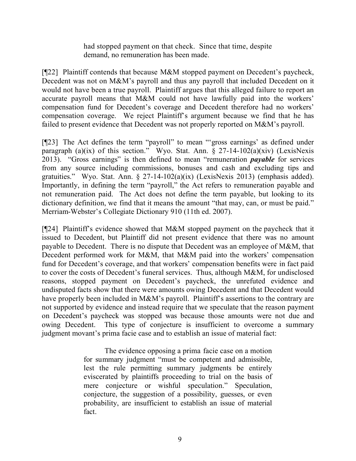had stopped payment on that check. Since that time, despite demand, no remuneration has been made.

[¶22] Plaintiff contends that because M&M stopped payment on Decedent's paycheck, Decedent was not on M&M's payroll and thus any payroll that included Decedent on it would not have been a true payroll. Plaintiff argues that this alleged failure to report an accurate payroll means that M&M could not have lawfully paid into the workers' compensation fund for Decedent's coverage and Decedent therefore had no workers' compensation coverage. We reject Plaintiff's argument because we find that he has failed to present evidence that Decedent was not properly reported on M&M's payroll.

[¶23] The Act defines the term "payroll" to mean "'gross earnings' as defined under paragraph (a)(ix) of this section." Wyo. Stat. Ann.  $\S$  27-14-102(a)(xiv) (LexisNexis 2013). "Gross earnings" is then defined to mean "remuneration *payable* for services from any source including commissions, bonuses and cash and excluding tips and gratuities." Wyo. Stat. Ann. § 27-14-102(a)(ix) (LexisNexis 2013) (emphasis added). Importantly, in defining the term "payroll," the Act refers to remuneration payable and not remuneration paid. The Act does not define the term payable, but looking to its dictionary definition, we find that it means the amount "that may, can, or must be paid." Merriam-Webster's Collegiate Dictionary 910 (11th ed. 2007).

[¶24] Plaintiff's evidence showed that M&M stopped payment on the paycheck that it issued to Decedent, but Plaintiff did not present evidence that there was no amount payable to Decedent. There is no dispute that Decedent was an employee of M&M, that Decedent performed work for M&M, that M&M paid into the workers' compensation fund for Decedent's coverage, and that workers' compensation benefits were in fact paid to cover the costs of Decedent's funeral services. Thus, although M&M, for undisclosed reasons, stopped payment on Decedent's paycheck, the unrefuted evidence and undisputed facts show that there were amounts owing Decedent and that Decedent would have properly been included in M&M's payroll. Plaintiff's assertions to the contrary are not supported by evidence and instead require that we speculate that the reason payment on Decedent's paycheck was stopped was because those amounts were not due and owing Decedent. This type of conjecture is insufficient to overcome a summary judgment movant's prima facie case and to establish an issue of material fact:

> The evidence opposing a prima facie case on a motion for summary judgment "must be competent and admissible, lest the rule permitting summary judgments be entirely eviscerated by plaintiffs proceeding to trial on the basis of mere conjecture or wishful speculation." Speculation, conjecture, the suggestion of a possibility, guesses, or even probability, are insufficient to establish an issue of material fact.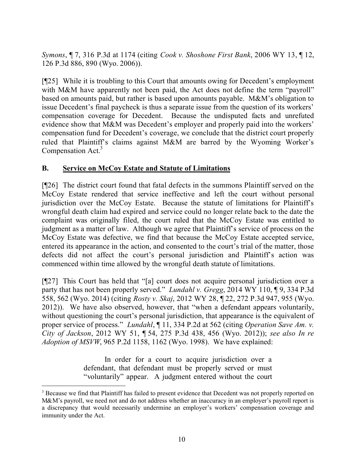*Symons*, ¶ 7, 316 P.3d at 1174 (citing *Cook v. Shoshone First Bank*, 2006 WY 13, ¶ 12, 126 P.3d 886, 890 (Wyo. 2006)).

[¶25] While it is troubling to this Court that amounts owing for Decedent's employment with M&M have apparently not been paid, the Act does not define the term "payroll" based on amounts paid, but rather is based upon amounts payable. M&M's obligation to issue Decedent's final paycheck is thus a separate issue from the question of its workers' compensation coverage for Decedent. Because the undisputed facts and unrefuted evidence show that M&M was Decedent's employer and properly paid into the workers' compensation fund for Decedent's coverage, we conclude that the district court properly ruled that Plaintiff's claims against M&M are barred by the Wyoming Worker's Compensation Act.<sup>3</sup>

### **B. Service on McCoy Estate and Statute of Limitations**

 $\overline{a}$ 

[¶26] The district court found that fatal defects in the summons Plaintiff served on the McCoy Estate rendered that service ineffective and left the court without personal jurisdiction over the McCoy Estate. Because the statute of limitations for Plaintiff's wrongful death claim had expired and service could no longer relate back to the date the complaint was originally filed, the court ruled that the McCoy Estate was entitled to judgment as a matter of law. Although we agree that Plaintiff's service of process on the McCoy Estate was defective, we find that because the McCoy Estate accepted service, entered its appearance in the action, and consented to the court's trial of the matter, those defects did not affect the court's personal jurisdiction and Plaintiff's action was commenced within time allowed by the wrongful death statute of limitations.

[¶27] This Court has held that "[a] court does not acquire personal jurisdiction over a party that has not been properly served." *Lundahl v. Gregg*, 2014 WY 110, ¶ 9, 334 P.3d 558, 562 (Wyo. 2014) (citing *Rosty v. Skaj*, 2012 WY 28, ¶ 22, 272 P.3d 947, 955 (Wyo. 2012)). We have also observed, however, that "when a defendant appears voluntarily, without questioning the court's personal jurisdiction, that appearance is the equivalent of proper service of process." *Lundahl*, ¶ 11, 334 P.2d at 562 (citing *Operation Save Am. v. City of Jackson*, 2012 WY 51, ¶ 54, 275 P.3d 438, 456 (Wyo. 2012)); *see also In re Adoption of MSVW*, 965 P.2d 1158, 1162 (Wyo. 1998). We have explained:

> In order for a court to acquire jurisdiction over a defendant, that defendant must be properly served or must "voluntarily" appear. A judgment entered without the court

<sup>&</sup>lt;sup>3</sup> Because we find that Plaintiff has failed to present evidence that Decedent was not properly reported on M&M's payroll, we need not and do not address whether an inaccuracy in an employer's payroll report is a discrepancy that would necessarily undermine an employer's workers' compensation coverage and immunity under the Act.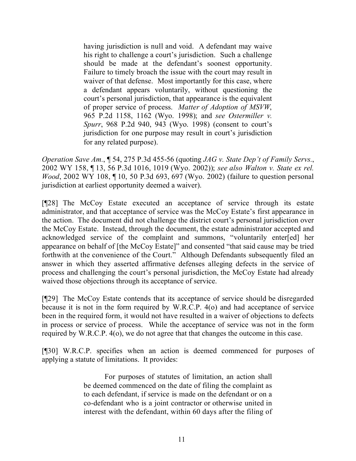having jurisdiction is null and void. A defendant may waive his right to challenge a court's jurisdiction. Such a challenge should be made at the defendant's soonest opportunity. Failure to timely broach the issue with the court may result in waiver of that defense. Most importantly for this case, where a defendant appears voluntarily, without questioning the court's personal jurisdiction, that appearance is the equivalent of proper service of process. *Matter of Adoption of MSVW*, 965 P.2d 1158, 1162 (Wyo. 1998); and *see Ostermiller v. Spurr*, 968 P.2d 940, 943 (Wyo. 1998) (consent to court's jurisdiction for one purpose may result in court's jurisdiction for any related purpose).

*Operation Save Am.*, ¶ 54, 275 P.3d 455-56 (quoting *JAG v. State Dep't of Family Servs.*, 2002 WY 158, ¶ 13, 56 P.3d 1016, 1019 (Wyo. 2002)); *see also Walton v. State ex rel. Wood*, 2002 WY 108, ¶ 10, 50 P.3d 693, 697 (Wyo. 2002) (failure to question personal jurisdiction at earliest opportunity deemed a waiver).

[¶28] The McCoy Estate executed an acceptance of service through its estate administrator, and that acceptance of service was the McCoy Estate's first appearance in the action. The document did not challenge the district court's personal jurisdiction over the McCoy Estate. Instead, through the document, the estate administrator accepted and acknowledged service of the complaint and summons, "voluntarily enter[ed] her appearance on behalf of [the McCoy Estate]" and consented "that said cause may be tried forthwith at the convenience of the Court." Although Defendants subsequently filed an answer in which they asserted affirmative defenses alleging defects in the service of process and challenging the court's personal jurisdiction, the McCoy Estate had already waived those objections through its acceptance of service.

[¶29] The McCoy Estate contends that its acceptance of service should be disregarded because it is not in the form required by W.R.C.P. 4(o) and had acceptance of service been in the required form, it would not have resulted in a waiver of objections to defects in process or service of process. While the acceptance of service was not in the form required by W.R.C.P. 4(o), we do not agree that that changes the outcome in this case.

[¶30] W.R.C.P. specifies when an action is deemed commenced for purposes of applying a statute of limitations. It provides:

> For purposes of statutes of limitation, an action shall be deemed commenced on the date of filing the complaint as to each defendant, if service is made on the defendant or on a co-defendant who is a joint contractor or otherwise united in interest with the defendant, within 60 days after the filing of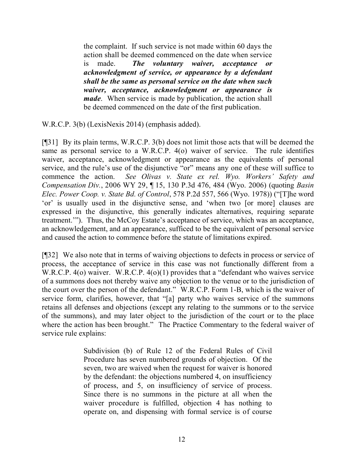the complaint. If such service is not made within 60 days the action shall be deemed commenced on the date when service is made. *The voluntary waiver, acceptance or acknowledgment of service, or appearance by a defendant shall be the same as personal service on the date when such waiver, acceptance, acknowledgment or appearance is made*. When service is made by publication, the action shall be deemed commenced on the date of the first publication.

W.R.C.P. 3(b) (LexisNexis 2014) (emphasis added).

[¶31] By its plain terms, W.R.C.P. 3(b) does not limit those acts that will be deemed the same as personal service to a W.R.C.P. 4(o) waiver of service. The rule identifies waiver, acceptance, acknowledgment or appearance as the equivalents of personal service, and the rule's use of the disjunctive "or" means any one of these will suffice to commence the action. *See Olivas v. State ex rel. Wyo. Workers' Safety and Compensation Div.*, 2006 WY 29, ¶ 15, 130 P.3d 476, 484 (Wyo. 2006) (quoting *Basin Elec. Power Coop. v. State Bd. of Control*, 578 P.2d 557, 566 (Wyo. 1978)) ("[T]he word 'or' is usually used in the disjunctive sense, and 'when two [or more] clauses are expressed in the disjunctive, this generally indicates alternatives, requiring separate treatment.'"). Thus, the McCoy Estate's acceptance of service, which was an acceptance, an acknowledgement, and an appearance, sufficed to be the equivalent of personal service and caused the action to commence before the statute of limitations expired.

[¶32] We also note that in terms of waiving objections to defects in process or service of process, the acceptance of service in this case was not functionally different from a W.R.C.P. 4(o) waiver. W.R.C.P. 4(o)(1) provides that a "defendant who waives service of a summons does not thereby waive any objection to the venue or to the jurisdiction of the court over the person of the defendant." W.R.C.P. Form 1-B, which is the waiver of service form, clarifies, however, that "[a] party who waives service of the summons retains all defenses and objections (except any relating to the summons or to the service of the summons), and may later object to the jurisdiction of the court or to the place where the action has been brought." The Practice Commentary to the federal waiver of service rule explains:

> Subdivision (b) of Rule 12 of the Federal Rules of Civil Procedure has seven numbered grounds of objection. Of the seven, two are waived when the request for waiver is honored by the defendant: the objections numbered 4, on insufficiency of process, and 5, on insufficiency of service of process. Since there is no summons in the picture at all when the waiver procedure is fulfilled, objection 4 has nothing to operate on, and dispensing with formal service is of course